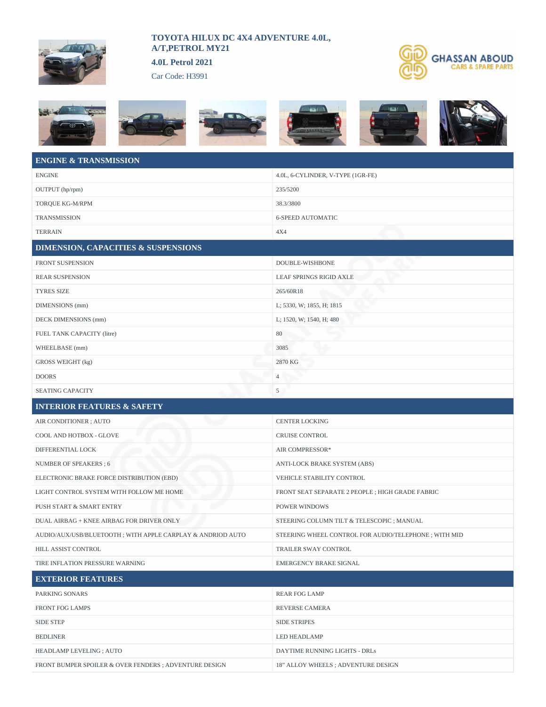

## **TOYOTA HILUX DC 4X4 ADVENTURE 4.0L, A/T,PETROL MY21**

**4.0L Petrol 2021**

Car Code: H3991

BEDLINER LED HEADLAMP

HEADLAMP LEVELING ; AUTO DAYTIME RUNNING LIGHTS - DRLs

FRONT BUMPER SPOILER & OVER FENDERS ; ADVENTURE DESIGN 18" ALLOY WHEELS ; ADVENTURE DESIGN















## **ENGINE & TRANSMISSION** ENGINE 4.0L, 6-CYLINDER, V-TYPE (1GR-FE) OUTPUT (hp/rpm) 235/5200 TOROUE KG-M/RPM 38.3/3800 TRANSMISSION 6-SPEED AUTOMATIC TERRAIN 4X4 **DIMENSION, CAPACITIES & SUSPENSIONS** FRONT SUSPENSION DOUBLE-WISHBONE REAR SUSPENSION LEAF SPRINGS RIGID AXLE TYRES SIZE 265/60R18 DIMENSIONS (mm) L; 5330, W; 1855, H; 1815 DECK DIMENSIONS (mm) L; 1520, W; 1540, H; 480 FUEL TANK CAPACITY (litre) 80 WHEELBASE (mm) 3085 GROSS WEIGHT (kg) 2870 KG DOORS 4 SEATING CAPACITY 5 **INTERIOR FEATURES & SAFETY** AIR CONDITIONER ; AUTO CENTER LOCKING COOL AND HOTBOX - GLOVE CRUISE CONTROL DIFFERENTIAL LOCK AIR COMPRESSOR\* NUMBER OF SPEAKERS ; 6 ANTI-LOCK BRAKE SYSTEM (ABS) ELECTRONIC BRAKE FORCE DISTRIBUTION (EBD) VEHICLE STABILITY CONTROL LIGHT CONTROL SYSTEM WITH FOLLOW ME HOME FRONT SEAT SEPARATE 2 PEOPLE ; HIGH GRADE FABRIC PUSH START & SMART ENTRY POWER WINDOWS DUAL AIRBAG + KNEE AIRBAG FOR DRIVER ONLY STEERING COLUMN TILT & TELESCOPIC ; MANUAL AUDIO/AUX/USB/BLUETOOTH ; WITH APPLE CARPLAY & ANDRIOD AUTO STEERING WHEEL CONTROL FOR AUDIO/TELEPHONE ; WITH MID HILL ASSIST CONTROL TRAILER SWAY CONTROL TIRE INFLATION PRESSURE WARNING **EMERGENCY BRAKE SIGNAL EXTERIOR FEATURES** PARKING SONARS REAR FOG LAMP FRONT FOG LAMPS REVERSE CAMERA SIDE STEP SIDE STRIPES